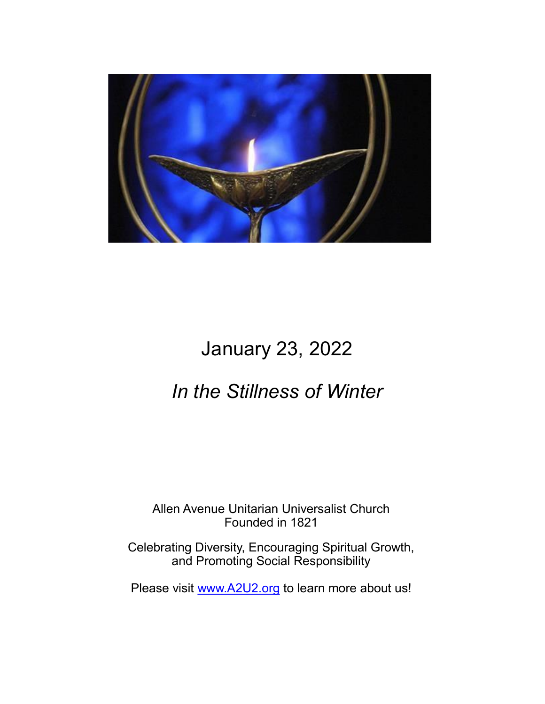

# January 23, 2022

## *In the Stillness of Winter*

Allen Avenue Unitarian Universalist Church Founded in 1821

Celebrating Diversity, Encouraging Spiritual Growth, and Promoting Social Responsibility

Please visit [www.A2U2.org](http://www.a2u2.org) to learn more about us!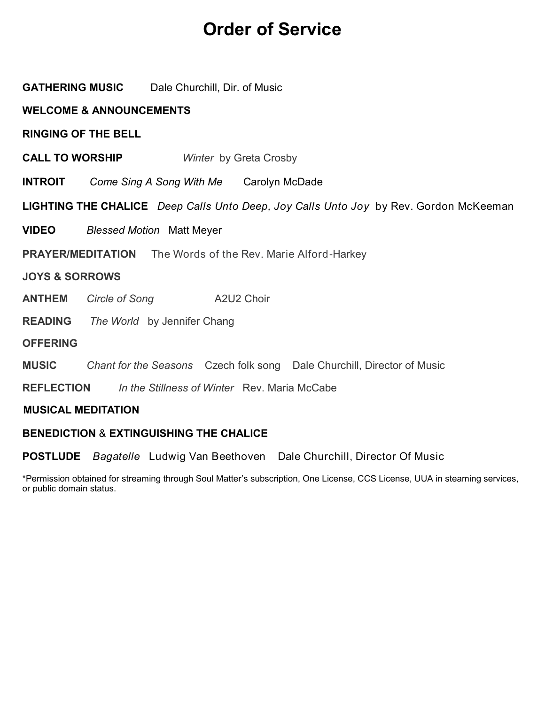### **Order of Service**

| <b>GATHERING MUSIC</b> Dale Churchill, Dir. of Music                                         |  |  |
|----------------------------------------------------------------------------------------------|--|--|
| <b>WELCOME &amp; ANNOUNCEMENTS</b>                                                           |  |  |
| <b>RINGING OF THE BELL</b>                                                                   |  |  |
| <b>CALL TO WORSHIP</b><br>Winter by Greta Crosby                                             |  |  |
| <b>INTROIT</b> Come Sing A Song With Me Carolyn McDade                                       |  |  |
| <b>LIGHTING THE CHALICE</b> Deep Calls Unto Deep, Joy Calls Unto Joy by Rev. Gordon McKeeman |  |  |
| <b>VIDEO</b><br><b>Blessed Motion Matt Meyer</b>                                             |  |  |
| <b>PRAYER/MEDITATION</b> The Words of the Rev. Marie Alford-Harkey                           |  |  |
| <b>JOYS &amp; SORROWS</b>                                                                    |  |  |
| <b>ANTHEM</b><br>Circle of Song A2U2 Choir                                                   |  |  |
| <b>READING</b> The World by Jennifer Chang                                                   |  |  |
| <b>OFFERING</b>                                                                              |  |  |
| Chant for the Seasons Czech folk song Dale Churchill, Director of Music<br><b>MUSIC</b>      |  |  |
| <b>REFLECTION</b> In the Stillness of Winter Rev. Maria McCabe                               |  |  |
| <b>MUSICAL MEDITATION</b>                                                                    |  |  |
|                                                                                              |  |  |

#### **BENEDICTION** & **EXTINGUISHING THE CHALICE**

**POSTLUDE** *Bagatelle* Ludwig Van Beethoven Dale Churchill, Director Of Music

\*Permission obtained for streaming through Soul Matter's subscription, One License, CCS License, UUA in steaming services, or public domain status.